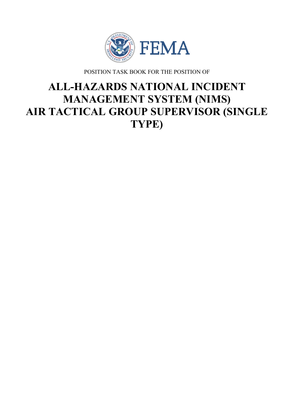

POSITION TASK BOOK FOR THE POSITION OF

# **ALL-HAZARDS NATIONAL INCIDENT MANAGEMENT SYSTEM (NIMS) AIR TACTICAL GROUP SUPERVISOR (SINGLE TYPE)**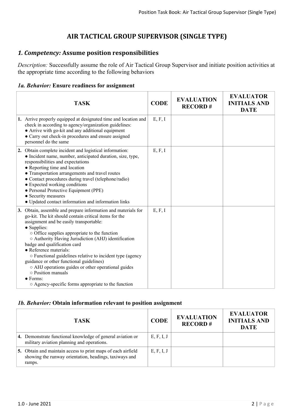# **AIR TACTICAL GROUP SUPERVISOR (SINGLE TYPE)**

# *1. Competency:* **Assume position responsibilities**

*Description:* Successfully assume the role of Air Tactical Group Supervisor and initiate position activities at the appropriate time according to the following behaviors

# *1a. Behavior:* **Ensure readiness for assignment**

| <b>TASK</b>                                                                                                                                                                                                                                                                                                                                                                                                                                                                                                                                                                                                                | <b>CODE</b> | <b>EVALUATION</b><br><b>RECORD#</b> | <b>EVALUATOR</b><br><b>INITIALS AND</b><br><b>DATE</b> |
|----------------------------------------------------------------------------------------------------------------------------------------------------------------------------------------------------------------------------------------------------------------------------------------------------------------------------------------------------------------------------------------------------------------------------------------------------------------------------------------------------------------------------------------------------------------------------------------------------------------------------|-------------|-------------------------------------|--------------------------------------------------------|
| 1. Arrive properly equipped at designated time and location and<br>check in according to agency/organization guidelines:<br>• Arrive with go-kit and any additional equipment<br>• Carry out check-in procedures and ensure assigned<br>personnel do the same                                                                                                                                                                                                                                                                                                                                                              | E, F, I     |                                     |                                                        |
| 2. Obtain complete incident and logistical information:<br>• Incident name, number, anticipated duration, size, type,<br>responsibilities and expectations<br>• Reporting time and location<br>• Transportation arrangements and travel routes<br>• Contact procedures during travel (telephone/radio)<br>• Expected working conditions<br>• Personal Protective Equipment (PPE)<br>• Security measures<br>• Updated contact information and information links                                                                                                                                                             | E, F, I     |                                     |                                                        |
| 3. Obtain, assemble and prepare information and materials for<br>go-kit. The kit should contain critical items for the<br>assignment and be easily transportable:<br>• Supplies:<br>$\circ$ Office supplies appropriate to the function<br>O Authority Having Jurisdiction (AHJ) identification<br>badge and qualification card<br>• Reference materials:<br>○ Functional guidelines relative to incident type (agency<br>guidance or other functional guidelines)<br>○ AHJ operations guides or other operational guides<br>o Position manuals<br>$\bullet$ Forms:<br>○ Agency-specific forms appropriate to the function | E, F, I     |                                     |                                                        |

## *1b. Behavior:* **Obtain information relevant to position assignment**

| <b>TASK</b>                                                                                                                      | <b>CODE</b> | <b>EVALUATION</b><br><b>RECORD#</b> | <b>EVALUATOR</b><br><b>INITIALS AND</b><br><b>DATE</b> |
|----------------------------------------------------------------------------------------------------------------------------------|-------------|-------------------------------------|--------------------------------------------------------|
| 4. Demonstrate functional knowledge of general aviation or<br>military aviation planning and operations.                         | E, F, I, J  |                                     |                                                        |
| 5. Obtain and maintain access to print maps of each airfield<br>showing the runway orientation, headings, taxiways and<br>ramps. | E, F, I, J  |                                     |                                                        |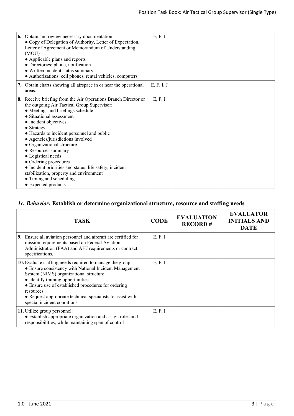| 6. Obtain and review necessary documentation:<br>• Copy of Delegation of Authority, Letter of Expectation,<br>Letter of Agreement or Memorandum of Understanding<br>(MOU)<br>• Applicable plans and reports<br>• Directories: phone, notification<br>• Written incident status summary<br>• Authorizations: cell phones, rental vehicles, computers                                                                                                                                                                                                                  | E, F, I    |  |
|----------------------------------------------------------------------------------------------------------------------------------------------------------------------------------------------------------------------------------------------------------------------------------------------------------------------------------------------------------------------------------------------------------------------------------------------------------------------------------------------------------------------------------------------------------------------|------------|--|
| 7. Obtain charts showing all airspace in or near the operational<br>areas.                                                                                                                                                                                                                                                                                                                                                                                                                                                                                           | E, F, I, J |  |
| 8. Receive briefing from the Air Operations Branch Director or<br>the outgoing Air Tactical Group Supervisor:<br>• Meetings and briefings schedule<br>• Situational assessment<br>• Incident objectives<br>• Strategy<br>• Hazards to incident personnel and public<br>• Agencies/jurisdictions involved<br>• Organizational structure<br>• Resources summary<br>• Logistical needs<br>• Ordering procedures<br>• Incident priorities and status: life safety, incident<br>stabilization, property and environment<br>• Timing and scheduling<br>• Expected products | E, F, I    |  |

# *1c. Behavior:* **Establish or determine organizational structure, resource and staffing needs**

| <b>TASK</b>                                                                                                                                                                                                                                                                                                                                                                | <b>CODE</b> | <b>EVALUATION</b><br><b>RECORD#</b> | <b>EVALUATOR</b><br><b>INITIALS AND</b><br><b>DATE</b> |
|----------------------------------------------------------------------------------------------------------------------------------------------------------------------------------------------------------------------------------------------------------------------------------------------------------------------------------------------------------------------------|-------------|-------------------------------------|--------------------------------------------------------|
| 9. Ensure all aviation personnel and aircraft are certified for<br>mission requirements based on Federal Aviation<br>Administration (FAA) and AHJ requirements or contract<br>specifications.                                                                                                                                                                              | E, F, I     |                                     |                                                        |
| <b>10.</b> Evaluate staffing needs required to manage the group:<br>• Ensure consistency with National Incident Management<br>System (NIMS) organizational structure<br>• Identify training opportunities<br>• Ensure use of established procedures for ordering<br>resources<br>• Request appropriate technical specialists to assist with<br>special incident conditions | E, F, I     |                                     |                                                        |
| <b>11.</b> Utilize group personnel:<br>• Establish appropriate organization and assign roles and<br>responsibilities, while maintaining span of control                                                                                                                                                                                                                    | E, F, I     |                                     |                                                        |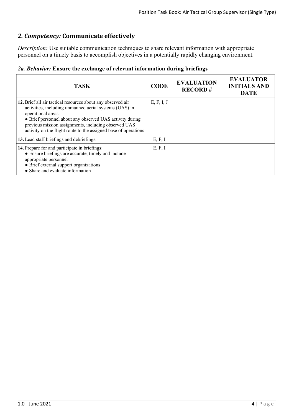# *2. Competency:* **Communicate effectively**

*Description:* Use suitable communication techniques to share relevant information with appropriate personnel on a timely basis to accomplish objectives in a potentially rapidly changing environment.

|  |  |  |  |  | 2a. Behavior: Ensure the exchange of relevant information during briefings |  |  |
|--|--|--|--|--|----------------------------------------------------------------------------|--|--|
|--|--|--|--|--|----------------------------------------------------------------------------|--|--|

| <b>TASK</b>                                                                                                                                                                                                                                                                                                                        | <b>CODE</b> | <b>EVALUATION</b><br><b>RECORD#</b> | <b>EVALUATOR</b><br><b>INITIALS AND</b><br><b>DATE</b> |
|------------------------------------------------------------------------------------------------------------------------------------------------------------------------------------------------------------------------------------------------------------------------------------------------------------------------------------|-------------|-------------------------------------|--------------------------------------------------------|
| 12. Brief all air tactical resources about any observed air<br>activities, including unmanned aerial systems (UAS) in<br>operational areas:<br>• Brief personnel about any observed UAS activity during<br>previous mission assignments, including observed UAS<br>activity on the flight route to the assigned base of operations | E, F, I, J  |                                     |                                                        |
| 13. Lead staff briefings and debriefings.                                                                                                                                                                                                                                                                                          | E, F, I     |                                     |                                                        |
| 14. Prepare for and participate in briefings:<br>• Ensure briefings are accurate, timely and include<br>appropriate personnel<br>• Brief external support organizations<br>• Share and evaluate information                                                                                                                        | E, F, I     |                                     |                                                        |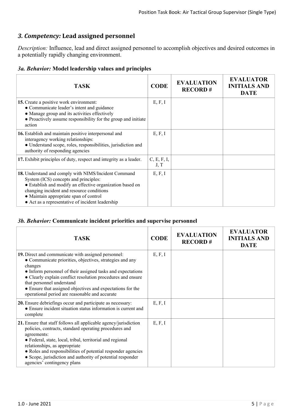# *3. Competency:* **Lead assigned personnel**

*Description:* Influence, lead and direct assigned personnel to accomplish objectives and desired outcomes in a potentially rapidly changing environment.

|  |  |  |  |  | 3a. Behavior: Model leadership values and principles |
|--|--|--|--|--|------------------------------------------------------|
|--|--|--|--|--|------------------------------------------------------|

| <b>TASK</b>                                                                                                                                                                                                                                                                                           | <b>CODE</b>         | <b>EVALUATION</b><br><b>RECORD#</b> | <b>EVALUATOR</b><br><b>INITIALS AND</b><br><b>DATE</b> |
|-------------------------------------------------------------------------------------------------------------------------------------------------------------------------------------------------------------------------------------------------------------------------------------------------------|---------------------|-------------------------------------|--------------------------------------------------------|
| <b>15.</b> Create a positive work environment:<br>• Communicate leader's intent and guidance<br>• Manage group and its activities effectively<br>• Proactively assume responsibility for the group and initiate<br>action                                                                             | E, F, I             |                                     |                                                        |
| <b>16.</b> Establish and maintain positive interpersonal and<br>interagency working relationships:<br>• Understand scope, roles, responsibilities, jurisdiction and<br>authority of responding agencies                                                                                               | E, F, I             |                                     |                                                        |
| 17. Exhibit principles of duty, respect and integrity as a leader.                                                                                                                                                                                                                                    | C, E, F, I,<br>J, T |                                     |                                                        |
| 18. Understand and comply with NIMS/Incident Command<br>System (ICS) concepts and principles:<br>• Establish and modify an effective organization based on<br>changing incident and resource conditions<br>• Maintain appropriate span of control<br>• Act as a representative of incident leadership | E, F, I             |                                     |                                                        |

## *3b. Behavior:* **Communicate incident priorities and supervise personnel**

| <b>TASK</b>                                                                                                                                                                                                                                                                                                                                                                                           | <b>CODE</b> | <b>EVALUATION</b><br><b>RECORD#</b> | <b>EVALUATOR</b><br><b>INITIALS AND</b><br><b>DATE</b> |
|-------------------------------------------------------------------------------------------------------------------------------------------------------------------------------------------------------------------------------------------------------------------------------------------------------------------------------------------------------------------------------------------------------|-------------|-------------------------------------|--------------------------------------------------------|
| 19. Direct and communicate with assigned personnel:<br>• Communicate priorities, objectives, strategies and any<br>changes<br>• Inform personnel of their assigned tasks and expectations<br>• Clearly explain conflict resolution procedures and ensure<br>that personnel understand<br>• Ensure that assigned objectives and expectations for the<br>operational period are reasonable and accurate | E, F, I     |                                     |                                                        |
| 20. Ensure debriefings occur and participate as necessary:<br>• Ensure incident situation status information is current and<br>complete                                                                                                                                                                                                                                                               | E, F, I     |                                     |                                                        |
| 21. Ensure that staff follows all applicable agency/jurisdiction<br>policies, contracts, standard operating procedures and<br>agreements:<br>• Federal, state, local, tribal, territorial and regional<br>relationships, as appropriate<br>• Roles and responsibilities of potential responder agencies<br>• Scope, jurisdiction and authority of potential responder<br>agencies' contingency plans  | E, F, I     |                                     |                                                        |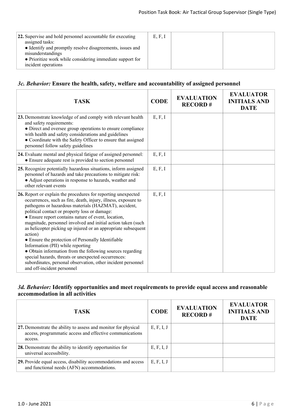| <b>22.</b> Supervise and hold personnel accountable for executing | E, F, I |  |
|-------------------------------------------------------------------|---------|--|
| assigned tasks:                                                   |         |  |
| • Identify and promptly resolve disagreements, issues and         |         |  |
| misunderstandings                                                 |         |  |
| • Prioritize work while considering immediate support for         |         |  |
| incident operations                                               |         |  |

## *3c. Behavior:* **Ensure the health, safety, welfare and accountability of assigned personnel**

| <b>TASK</b>                                                                                                                                                                                                                                                                                                                                                                                                                                                                                                                                                                                                                                                                                                                                              | <b>CODE</b> | <b>EVALUATION</b><br><b>RECORD#</b> | <b>EVALUATOR</b><br><b>INITIALS AND</b><br><b>DATE</b> |
|----------------------------------------------------------------------------------------------------------------------------------------------------------------------------------------------------------------------------------------------------------------------------------------------------------------------------------------------------------------------------------------------------------------------------------------------------------------------------------------------------------------------------------------------------------------------------------------------------------------------------------------------------------------------------------------------------------------------------------------------------------|-------------|-------------------------------------|--------------------------------------------------------|
| 23. Demonstrate knowledge of and comply with relevant health<br>and safety requirements:<br>• Direct and oversee group operations to ensure compliance<br>with health and safety considerations and guidelines<br>• Coordinate with the Safety Officer to ensure that assigned<br>personnel follow safety guidelines                                                                                                                                                                                                                                                                                                                                                                                                                                     | E, F, I     |                                     |                                                        |
| 24. Evaluate mental and physical fatigue of assigned personnel:<br>• Ensure adequate rest is provided to section personnel                                                                                                                                                                                                                                                                                                                                                                                                                                                                                                                                                                                                                               | E, F, I     |                                     |                                                        |
| 25. Recognize potentially hazardous situations, inform assigned<br>personnel of hazards and take precautions to mitigate risk:<br>• Adjust operations in response to hazards, weather and<br>other relevant events                                                                                                                                                                                                                                                                                                                                                                                                                                                                                                                                       | E, F, I     |                                     |                                                        |
| 26. Report or explain the procedures for reporting unexpected<br>occurrences, such as fire, death, injury, illness, exposure to<br>pathogens or hazardous materials (HAZMAT), accident,<br>political contact or property loss or damage:<br>• Ensure report contains nature of event, location,<br>magnitude, personnel involved and initial action taken (such<br>as helicopter picking up injured or an appropriate subsequent<br>action)<br>• Ensure the protection of Personally Identifiable<br>Information (PII) while reporting<br>• Obtain information from the following sources regarding<br>special hazards, threats or unexpected occurrences:<br>subordinates, personal observation, other incident personnel<br>and off-incident personnel | E, F, I     |                                     |                                                        |

# *3d. Behavior:* **Identify opportunities and meet requirements to provide equal access and reasonable accommodation in all activities**

| <b>TASK</b>                                                                                                                           | <b>CODE</b> | <b>EVALUATION</b><br><b>RECORD#</b> | <b>EVALUATOR</b><br><b>INITIALS AND</b><br><b>DATE</b> |
|---------------------------------------------------------------------------------------------------------------------------------------|-------------|-------------------------------------|--------------------------------------------------------|
| 27. Demonstrate the ability to assess and monitor for physical<br>access, programmatic access and effective communications<br>access. | E, F, I, J  |                                     |                                                        |
| 28. Demonstrate the ability to identify opportunities for<br>universal accessibility.                                                 | E, F, I, J  |                                     |                                                        |
| 29. Provide equal access, disability accommodations and access<br>and functional needs (AFN) accommodations.                          | E, F, I, J  |                                     |                                                        |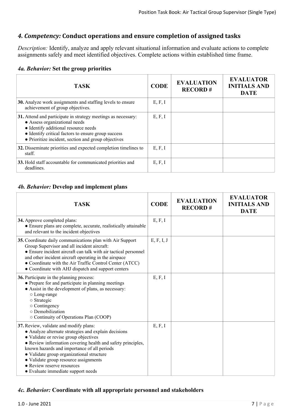# *4. Competency:* **Conduct operations and ensure completion of assigned tasks**

*Description:* Identify, analyze and apply relevant situational information and evaluate actions to complete assignments safely and meet identified objectives. Complete actions within established time frame.

#### *4a. Behavior:* **Set the group priorities**

| <b>TASK</b>                                                                                                                                                                                                                                          | <b>CODE</b> | <b>EVALUATION</b><br><b>RECORD#</b> | <b>EVALUATOR</b><br><b>INITIALS AND</b><br><b>DATE</b> |
|------------------------------------------------------------------------------------------------------------------------------------------------------------------------------------------------------------------------------------------------------|-------------|-------------------------------------|--------------------------------------------------------|
| 30. Analyze work assignments and staffing levels to ensure<br>achievement of group objectives.                                                                                                                                                       | E, F, I     |                                     |                                                        |
| 31. Attend and participate in strategy meetings as necessary:<br>• Assess organizational needs<br>• Identify additional resource needs<br>• Identify critical factors to ensure group success<br>• Prioritize incident, section and group objectives | E, F, I     |                                     |                                                        |
| 32. Disseminate priorities and expected completion timelines to<br>staff.                                                                                                                                                                            | E, F, I     |                                     |                                                        |
| 33. Hold staff accountable for communicated priorities and<br>deadlines.                                                                                                                                                                             | E, F, I     |                                     |                                                        |

## *4b. Behavior:* **Develop and implement plans**

| <b>TASK</b>                                                                                                                                                                                                                                                                                                                                                                                                     | <b>CODE</b> | <b>EVALUATION</b><br><b>RECORD#</b> | <b>EVALUATOR</b><br><b>INITIALS AND</b><br><b>DATE</b> |
|-----------------------------------------------------------------------------------------------------------------------------------------------------------------------------------------------------------------------------------------------------------------------------------------------------------------------------------------------------------------------------------------------------------------|-------------|-------------------------------------|--------------------------------------------------------|
| 34. Approve completed plans:<br>• Ensure plans are complete, accurate, realistically attainable<br>and relevant to the incident objectives                                                                                                                                                                                                                                                                      | E, F, I     |                                     |                                                        |
| 35. Coordinate daily communications plan with Air Support<br>Group Supervisor and all incident aircraft:<br>• Ensure incident aircraft can talk with air tactical personnel<br>and other incident aircraft operating in the airspace<br>• Coordinate with the Air Traffic Control Center (ATCC)<br>• Coordinate with AHJ dispatch and support centers                                                           | E, F, I, J  |                                     |                                                        |
| 36. Participate in the planning process:<br>• Prepare for and participate in planning meetings<br>• Assist in the development of plans, as necessary:<br>○ Long-range<br>o Strategic<br>$\circ$ Contingency<br>o Demobilization<br>○ Continuity of Operations Plan (COOP)                                                                                                                                       | E, F, I     |                                     |                                                        |
| 37. Review, validate and modify plans:<br>• Analyze alternate strategies and explain decisions<br>• Validate or revise group objectives<br>• Review information covering health and safety principles,<br>known hazards and importance of all periods<br>• Validate group organizational structure<br>• Validate group resource assignments<br>• Review reserve resources<br>• Evaluate immediate support needs | E, F, I     |                                     |                                                        |

## *4c. Behavior:* **Coordinate with all appropriate personnel and stakeholders**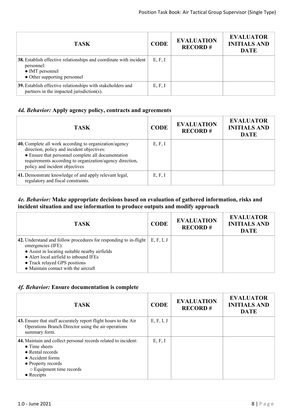| <b>TASK</b>                                                                                                                         | <b>CODE</b> | <b>EVALUATION</b><br><b>RECORD#</b> | <b>EVALUATOR</b><br><b>INITIALS AND</b><br><b>DATE</b> |
|-------------------------------------------------------------------------------------------------------------------------------------|-------------|-------------------------------------|--------------------------------------------------------|
| 38. Establish effective relationships and coordinate with incident<br>personnel:<br>• IMT personnel<br>• Other supporting personnel | E, F, I     |                                     |                                                        |
| 39. Establish effective relationships with stakeholders and<br>partners in the impacted jurisdiction(s).                            | E, F, I     |                                     |                                                        |

# *4d. Behavior:* **Apply agency policy, contracts and agreements**

| <b>TASK</b>                                                                                                                                                                                                                                              | <b>CODE</b> | <b>EVALUATION</b><br><b>RECORD#</b> | <b>EVALUATOR</b><br><b>INITIALS AND</b><br><b>DATE</b> |
|----------------------------------------------------------------------------------------------------------------------------------------------------------------------------------------------------------------------------------------------------------|-------------|-------------------------------------|--------------------------------------------------------|
| 40. Complete all work according to organization/agency<br>direction, policy and incident objectives:<br>• Ensure that personnel complete all documentation<br>requirements according to organization/agency direction,<br>policy and incident objectives | E, F, I     |                                     |                                                        |
| 41. Demonstrate knowledge of and apply relevant legal,<br>regulatory and fiscal constraints.                                                                                                                                                             | E, F, I     |                                     |                                                        |

#### *4e. Behavior:* **Make appropriate decisions based on evaluation of gathered information, risks and incident situation and use information to produce outputs and modify approach**

| <b>TASK</b>                                                                                                                                                                                                                                                         | <b>CODE</b> | <b>EVALUATION</b><br><b>RECORD#</b> | <b>EVALUATOR</b><br><b>INITIALS AND</b><br><b>DATE</b> |
|---------------------------------------------------------------------------------------------------------------------------------------------------------------------------------------------------------------------------------------------------------------------|-------------|-------------------------------------|--------------------------------------------------------|
| 42. Understand and follow procedures for responding to in-flight<br>emergencies (IFE):<br>• Assist in locating suitable nearby airfields<br>• Alert local airfield to inbound IFEs<br>• Track relayed GPS positions<br>$\bullet$ Maintain contact with the aircraft | E, F, I, J  |                                     |                                                        |

## *4f. Behavior:* **Ensure documentation is complete**

| <b>TASK</b>                                                                                                                                                                                                   | <b>CODE</b> | <b>EVALUATION</b><br><b>RECORD#</b> | <b>EVALUATOR</b><br><b>INITIALS AND</b><br><b>DATE</b> |
|---------------------------------------------------------------------------------------------------------------------------------------------------------------------------------------------------------------|-------------|-------------------------------------|--------------------------------------------------------|
| 43. Ensure that staff accurately report flight hours to the Air<br>Operations Branch Director using the air operations<br>summary form.                                                                       | E, F, I, J  |                                     |                                                        |
| 44. Maintain and collect personal records related to incident:<br>$\bullet$ Time sheets<br>• Rental records<br>• Accident forms<br>• Property records<br>$\circ$ Equipment time records<br>$\bullet$ Receipts | E, F, I     |                                     |                                                        |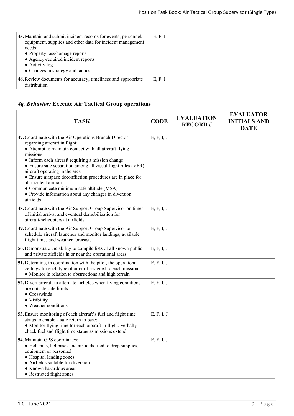| 45. Maintain and submit incident records for events, personnel,<br>equipment, supplies and other data for incident management<br>needs:<br>• Property loss/damage reports<br>• Agency-required incident reports<br>$\bullet$ Activity log<br>• Changes in strategy and tactics | E, F, I |  |
|--------------------------------------------------------------------------------------------------------------------------------------------------------------------------------------------------------------------------------------------------------------------------------|---------|--|
| 46. Review documents for accuracy, timeliness and appropriate<br>distribution.                                                                                                                                                                                                 | E, F, I |  |

# *4g. Behavior:* **Execute Air Tactical Group operations**

| <b>TASK</b>                                                                                                                                                                                                                                                                                                                                                                                                                                                                                                                    | <b>CODE</b> | <b>EVALUATION</b><br><b>RECORD#</b> | <b>EVALUATOR</b><br><b>INITIALS AND</b><br><b>DATE</b> |
|--------------------------------------------------------------------------------------------------------------------------------------------------------------------------------------------------------------------------------------------------------------------------------------------------------------------------------------------------------------------------------------------------------------------------------------------------------------------------------------------------------------------------------|-------------|-------------------------------------|--------------------------------------------------------|
| 47. Coordinate with the Air Operations Branch Director<br>regarding aircraft in flight:<br>• Attempt to maintain contact with all aircraft flying<br>missions<br>• Inform each aircraft requiring a mission change<br>• Ensure safe separation among all visual flight rules (VFR)<br>aircraft operating in the area<br>• Ensure airspace deconfliction procedures are in place for<br>all incident aircraft<br>• Communicate minimum safe altitude (MSA)<br>• Provide information about any changes in diversion<br>airfields | E, F, I, J  |                                     |                                                        |
| 48. Coordinate with the Air Support Group Supervisor on times<br>of initial arrival and eventual demobilization for<br>aircraft/helicopters at airfields.                                                                                                                                                                                                                                                                                                                                                                      | E, F, I, J  |                                     |                                                        |
| 49. Coordinate with the Air Support Group Supervisor to<br>schedule aircraft launches and monitor landings, available<br>flight times and weather forecasts.                                                                                                                                                                                                                                                                                                                                                                   | E, F, I, J  |                                     |                                                        |
| 50. Demonstrate the ability to compile lists of all known public<br>and private airfields in or near the operational areas.                                                                                                                                                                                                                                                                                                                                                                                                    | E, F, I, J  |                                     |                                                        |
| 51. Determine, in coordination with the pilot, the operational<br>ceilings for each type of aircraft assigned to each mission:<br>• Monitor in relation to obstructions and high terrain                                                                                                                                                                                                                                                                                                                                       | E, F, I, J  |                                     |                                                        |
| 52. Divert aircraft to alternate airfields when flying conditions<br>are outside safe limits:<br>$\bullet$ Crosswinds<br>• Visibility<br>• Weather conditions                                                                                                                                                                                                                                                                                                                                                                  | E, F, I, J  |                                     |                                                        |
| 53. Ensure monitoring of each aircraft's fuel and flight time<br>status to enable a safe return to base:<br>• Monitor flying time for each aircraft in flight; verbally<br>check fuel and flight time status as missions extend                                                                                                                                                                                                                                                                                                | E, F, I, J  |                                     |                                                        |
| <b>54.</b> Maintain GPS coordinates:<br>• Helispots, helibases and airfields used to drop supplies,<br>equipment or personnel<br>• Hospital landing zones<br>• Airfields suitable for diversion<br>• Known hazardous areas<br>• Restricted flight zones                                                                                                                                                                                                                                                                        | E, F, I, J  |                                     |                                                        |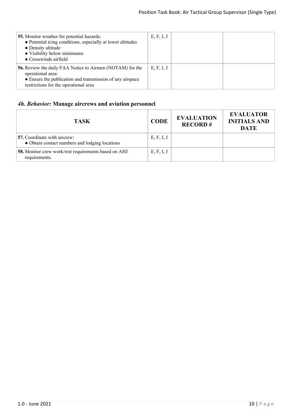| 55. Monitor weather for potential hazards:<br>• Potential icing conditions, especially at lower altitudes<br>• Density altitude<br>• Visibility below minimums<br>• Crosswinds airfield     | E, F, I, J |  |
|---------------------------------------------------------------------------------------------------------------------------------------------------------------------------------------------|------------|--|
| <b>56.</b> Review the daily FAA Notice to Airmen (NOTAM) for the<br>operational area:<br>• Ensure the publication and transmission of any airspace<br>restrictions for the operational area | E, F, I, J |  |

# *4h. Behavior:* **Manage aircrews and aviation personnel**

| <b>TASK</b>                                                                    | <b>CODE</b> | <b>EVALUATION</b><br><b>RECORD#</b> | <b>EVALUATOR</b><br><b>INITIALS AND</b><br><b>DATE</b> |
|--------------------------------------------------------------------------------|-------------|-------------------------------------|--------------------------------------------------------|
| 57. Coordinate with aircrew:<br>• Obtain contact numbers and lodging locations | E, F, I, J  |                                     |                                                        |
| 58. Monitor crew work/rest requirements based on AHJ<br>requirements.          | E, F, I, J  |                                     |                                                        |